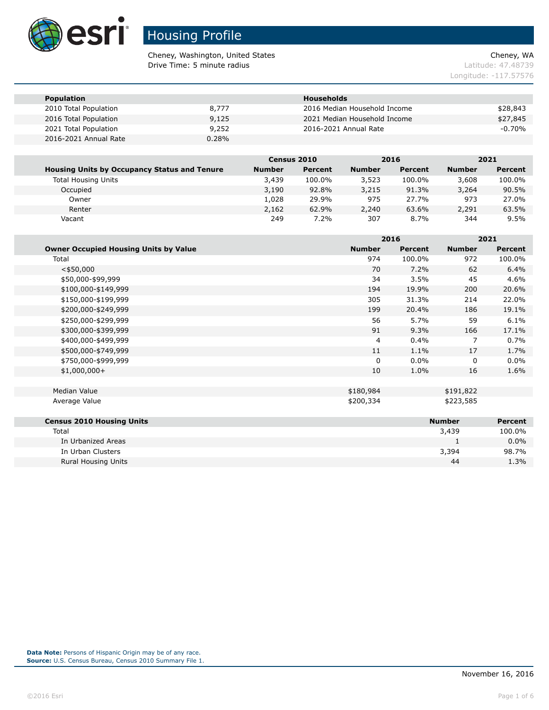

Cheney, Washington, United States Cheney, WA **Drive Time: 5 minute radius Contract Contract Contract Contract Contract Contract Contract Contract Contract Contract Contract Contract Contract Contract Contract Contract Contract Contract Contract Contract Contract Co** 

Longitude: -117.57576

| <b>Population</b>     |       | <b>Households</b>            |          |
|-----------------------|-------|------------------------------|----------|
| 2010 Total Population | 8,777 | 2016 Median Household Income | \$28,843 |
| 2016 Total Population | 9,125 | 2021 Median Household Income | \$27,845 |
| 2021 Total Population | 9,252 | 2016-2021 Annual Rate        | $-0.70%$ |
| 2016-2021 Annual Rate | 0.28% |                              |          |

|                                                     | Census 2010   |         | 2016          |                | 2021          |         |
|-----------------------------------------------------|---------------|---------|---------------|----------------|---------------|---------|
| <b>Housing Units by Occupancy Status and Tenure</b> | <b>Number</b> | Percent | <b>Number</b> | <b>Percent</b> | <b>Number</b> | Percent |
| <b>Total Housing Units</b>                          | 3,439         | 100.0%  | 3,523         | 100.0%         | 3,608         | 100.0%  |
| Occupied                                            | 3,190         | 92.8%   | 3,215         | 91.3%          | 3,264         | 90.5%   |
| Owner                                               | 1.028         | 29.9%   | 975           | 27.7%          | 973           | 27.0%   |
| Renter                                              | 2,162         | 62.9%   | 2,240         | 63.6%          | 2,291         | 63.5%   |
| Vacant                                              | 249           | $7.2\%$ | 307           | 8.7%           | 344           | 9.5%    |

|                                              |               | 2016           |               | 2021           |
|----------------------------------------------|---------------|----------------|---------------|----------------|
| <b>Owner Occupied Housing Units by Value</b> | <b>Number</b> | <b>Percent</b> | <b>Number</b> | <b>Percent</b> |
| Total                                        | 974           | 100.0%         | 972           | 100.0%         |
| $<$ \$50,000                                 | 70            | 7.2%           | 62            | 6.4%           |
| \$50,000-\$99,999                            | 34            | 3.5%           | 45            | 4.6%           |
| \$100,000-\$149,999                          | 194           | 19.9%          | 200           | 20.6%          |
| \$150,000-\$199,999                          | 305           | 31.3%          | 214           | 22.0%          |
| \$200,000-\$249,999                          | 199           | 20.4%          | 186           | 19.1%          |
| \$250,000-\$299,999                          | 56            | 5.7%           | 59            | 6.1%           |
| \$300,000-\$399,999                          | 91            | 9.3%           | 166           | 17.1%          |
| \$400,000-\$499,999                          | 4             | 0.4%           | 7             | 0.7%           |
| \$500,000-\$749,999                          | 11            | 1.1%           | 17            | 1.7%           |
| \$750,000-\$999,999                          | $\mathbf{0}$  | $0.0\%$        | 0             | $0.0\%$        |
| $$1,000,000+$                                | 10            | 1.0%           | 16            | 1.6%           |
|                                              |               |                |               |                |
| <b>Median Value</b>                          | \$180,984     |                | \$191,822     |                |
| Average Value                                | \$200,334     |                | \$223,585     |                |
|                                              |               |                |               |                |
| <b>Census 2010 Housing Units</b>             |               |                | <b>Number</b> | <b>Percent</b> |
| Total                                        |               |                | 3,439         | 100.0%         |

| TOLAI                      | 9,459 | 100.0%  |
|----------------------------|-------|---------|
| In Urbanized Areas         |       | $0.0\%$ |
| In Urban Clusters          | 3,394 | 98.7%   |
| <b>Rural Housing Units</b> | 44    | $1.3\%$ |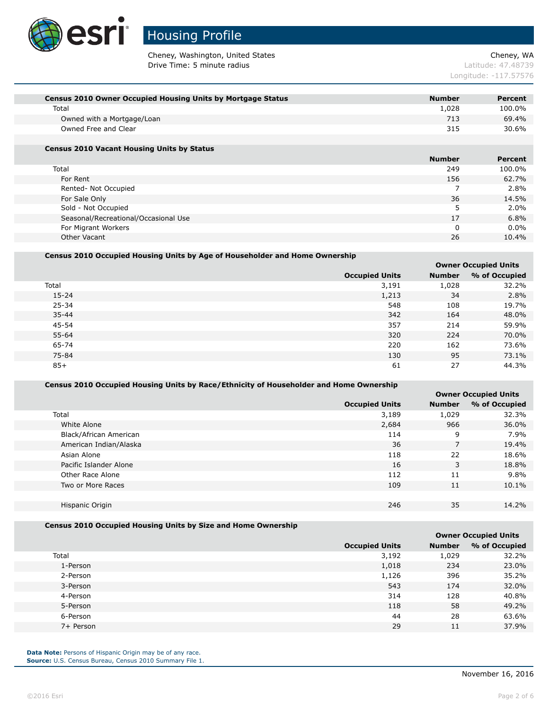

Cheney, Washington, United States Cheney, WA **Drive Time: 5 minute radius Contract Contract Contract Contract Contract Contract Contract Contract Contract Contract Contract Contract Contract Contract Contract Contract Contract Contract Contract Contract Contract Co** 

Longitude: -117.57576

| <b>Census 2010 Owner Occupied Housing Units by Mortgage Status</b> | <b>Number</b> | Percent |
|--------------------------------------------------------------------|---------------|---------|
| Total                                                              | 1.028         | 100.0%  |
| Owned with a Mortgage/Loan                                         | 713           | 69.4%   |
| Owned Free and Clear                                               | 315           | 30.6%   |
|                                                                    |               |         |

#### **Census 2010 Vacant Housing Units by Status**

|                                      | <b>Number</b> | <b>Percent</b> |
|--------------------------------------|---------------|----------------|
| Total                                | 249           | 100.0%         |
| For Rent                             | 156           | 62.7%          |
| Rented- Not Occupied                 |               | 2.8%           |
| For Sale Only                        | 36            | 14.5%          |
| Sold - Not Occupied                  |               | $2.0\%$        |
| Seasonal/Recreational/Occasional Use | 17            | 6.8%           |
| For Migrant Workers                  | 0             | $0.0\%$        |
| Other Vacant                         | 26            | 10.4%          |

#### **Census 2010 Occupied Housing Units by Age of Householder and Home Ownership**

|                       | <b>Owner Occupied Units</b> |               |  |
|-----------------------|-----------------------------|---------------|--|
| <b>Occupied Units</b> | <b>Number</b>               | % of Occupied |  |
| 3,191                 | 1,028                       | 32.2%         |  |
| 1,213                 | 34                          | 2.8%          |  |
| 548                   | 108                         | 19.7%         |  |
| 342                   | 164                         | 48.0%         |  |
| 357                   | 214                         | 59.9%         |  |
| 320                   | 224                         | 70.0%         |  |
| 220                   | 162                         | 73.6%         |  |
| 130                   | 95                          | 73.1%         |  |
| 61                    | 27                          | 44.3%         |  |
|                       |                             |               |  |

### **Census 2010 Occupied Housing Units by Race/Ethnicity of Householder and Home Ownership**

|                        |                       |               | <b>Owner Occupied Units</b> |
|------------------------|-----------------------|---------------|-----------------------------|
|                        | <b>Occupied Units</b> | <b>Number</b> | % of Occupied               |
| Total                  | 3,189                 | 1,029         | 32.3%                       |
| White Alone            | 2,684                 | 966           | 36.0%                       |
| Black/African American | 114                   | 9             | 7.9%                        |
| American Indian/Alaska | 36                    | 7             | 19.4%                       |
| Asian Alone            | 118                   | 22            | 18.6%                       |
| Pacific Islander Alone | 16                    | 3             | 18.8%                       |
| Other Race Alone       | 112                   | 11            | 9.8%                        |
| Two or More Races      | 109                   | 11            | 10.1%                       |
|                        |                       |               |                             |
| Hispanic Origin        | 246                   | 35            | 14.2%                       |
|                        |                       |               |                             |

### **Census 2010 Occupied Housing Units by Size and Home Ownership**

|           |                       | <b>Owner Occupied Units</b> |               |  |
|-----------|-----------------------|-----------------------------|---------------|--|
|           | <b>Occupied Units</b> | <b>Number</b>               | % of Occupied |  |
| Total     | 3,192                 | 1,029                       | 32.2%         |  |
| 1-Person  | 1,018                 | 234                         | 23.0%         |  |
| 2-Person  | 1,126                 | 396                         | 35.2%         |  |
| 3-Person  | 543                   | 174                         | 32.0%         |  |
| 4-Person  | 314                   | 128                         | 40.8%         |  |
| 5-Person  | 118                   | 58                          | 49.2%         |  |
| 6-Person  | 44                    | 28                          | 63.6%         |  |
| 7+ Person | 29                    | 11                          | 37.9%         |  |
|           |                       |                             |               |  |

**Data Note:** Persons of Hispanic Origin may be of any race. **Source:** U.S. Census Bureau, Census 2010 Summary File 1.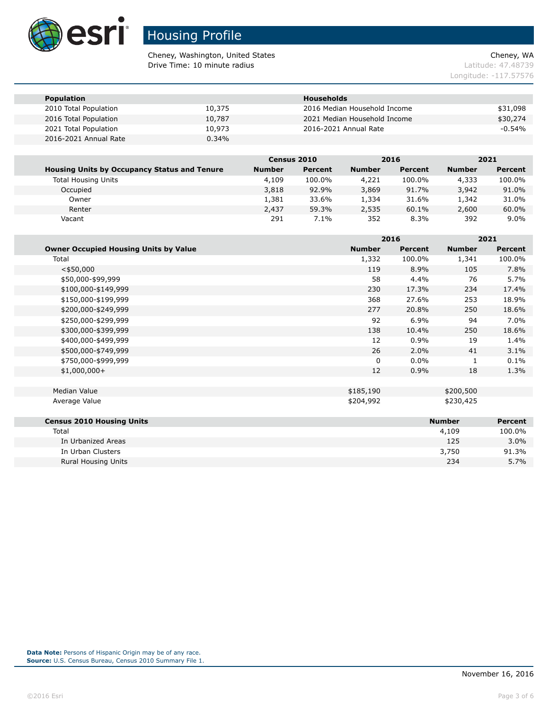

Cheney, Washington, United States Cheney, WA **Drive Time: 10 minute radius Latitude: 47.48739** 

Longitude: -117.57576

| <b>Population</b>     |        | <b>Households</b>            |           |
|-----------------------|--------|------------------------------|-----------|
| 2010 Total Population | 10,375 | 2016 Median Household Income | \$31,098  |
| 2016 Total Population | 10,787 | 2021 Median Household Income | \$30,274  |
| 2021 Total Population | 10,973 | 2016-2021 Annual Rate        | $-0.54\%$ |
| 2016-2021 Annual Rate | 0.34%  |                              |           |

|                                                     | <b>Census 2010</b> |         | 2016          |         | 2021          |         |
|-----------------------------------------------------|--------------------|---------|---------------|---------|---------------|---------|
| <b>Housing Units by Occupancy Status and Tenure</b> | <b>Number</b>      | Percent | <b>Number</b> | Percent | <b>Number</b> | Percent |
| <b>Total Housing Units</b>                          | 4,109              | 100.0%  | 4,221         | 100.0%  | 4,333         | 100.0%  |
| Occupied                                            | 3,818              | 92.9%   | 3,869         | 91.7%   | 3,942         | 91.0%   |
| Owner                                               | 1,381              | 33.6%   | 1,334         | 31.6%   | 1,342         | 31.0%   |
| Renter                                              | 2,437              | 59.3%   | 2,535         | 60.1%   | 2,600         | 60.0%   |
| Vacant                                              | 291                | $7.1\%$ | 352           | 8.3%    | 392           | $9.0\%$ |

|                                              |               | 2016    |               | 2021           |  |
|----------------------------------------------|---------------|---------|---------------|----------------|--|
| <b>Owner Occupied Housing Units by Value</b> | <b>Number</b> | Percent | <b>Number</b> | <b>Percent</b> |  |
| Total                                        | 1,332         | 100.0%  | 1,341         | 100.0%         |  |
| $<$ \$50,000                                 | 119           | 8.9%    | 105           | 7.8%           |  |
| \$50,000-\$99,999                            | 58            | 4.4%    | 76            | 5.7%           |  |
| \$100,000-\$149,999                          | 230           | 17.3%   | 234           | 17.4%          |  |
| \$150,000-\$199,999                          | 368           | 27.6%   | 253           | 18.9%          |  |
| \$200,000-\$249,999                          | 277           | 20.8%   | 250           | 18.6%          |  |
| \$250,000-\$299,999                          | 92            | 6.9%    | 94            | 7.0%           |  |
| \$300,000-\$399,999                          | 138           | 10.4%   | 250           | 18.6%          |  |
| \$400,000-\$499,999                          | 12            | 0.9%    | 19            | 1.4%           |  |
| \$500,000-\$749,999                          | 26            | 2.0%    | 41            | 3.1%           |  |
| \$750,000-\$999,999                          | 0             | $0.0\%$ | 1             | 0.1%           |  |
| $$1,000,000+$                                | 12            | 0.9%    | 18            | 1.3%           |  |
|                                              |               |         |               |                |  |
| <b>Median Value</b>                          | \$185,190     |         | \$200,500     |                |  |
| Average Value                                | \$204,992     |         | \$230,425     |                |  |
| <b>Census 2010 Housing Units</b>             |               |         | <b>Number</b> | <b>Percent</b> |  |
| Total                                        |               |         | 4,109         | 100.0%         |  |
| In Urbanized Areas                           |               |         | 125           | $3.0\%$        |  |

In Urban Clusters 3,750 91.3% Rural Housing Units 234 5.7%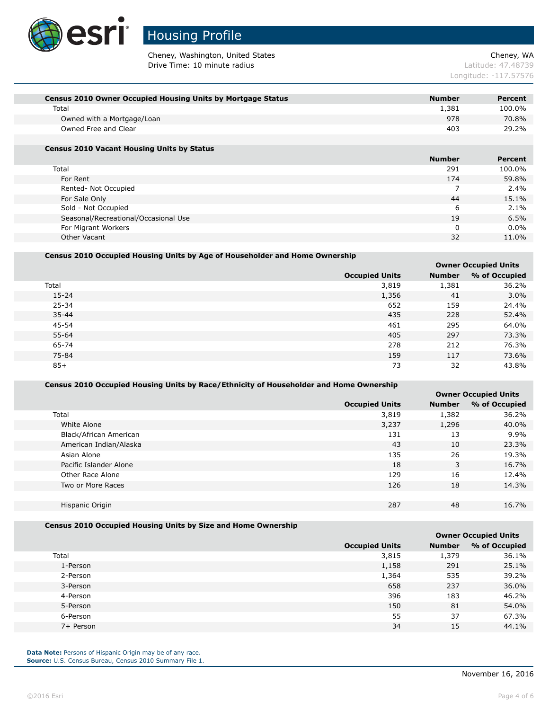

Cheney, Washington, United States Cheney, WA Drive Time: 10 minute radius and the contract of the contract of the latitude: 47.48739

Longitude: -117.57576

| <b>Census 2010 Owner Occupied Housing Units by Mortgage Status</b> | <b>Number</b> | Percent |
|--------------------------------------------------------------------|---------------|---------|
| Total                                                              | 1,381         | 100.0%  |
| Owned with a Mortgage/Loan                                         | 978           | 70.8%   |
| Owned Free and Clear                                               | 403           | 29.2%   |
|                                                                    |               |         |

#### **Census 2010 Vacant Housing Units by Status**

|                                      | <b>Number</b> | <b>Percent</b> |
|--------------------------------------|---------------|----------------|
| Total                                | 291           | 100.0%         |
| For Rent                             | 174           | 59.8%          |
| Rented- Not Occupied                 |               | 2.4%           |
| For Sale Only                        | 44            | 15.1%          |
| Sold - Not Occupied                  | 6             | $2.1\%$        |
| Seasonal/Recreational/Occasional Use | 19            | 6.5%           |
| For Migrant Workers                  | 0             | $0.0\%$        |
| Other Vacant                         | 32            | 11.0%          |

#### **Census 2010 Occupied Housing Units by Age of Householder and Home Ownership**

|                       |               | <b>Owner Occupied Units</b> |
|-----------------------|---------------|-----------------------------|
| <b>Occupied Units</b> | <b>Number</b> | % of Occupied               |
| 3,819                 | 1,381         | 36.2%                       |
| 1,356                 | 41            | 3.0%                        |
| 652                   | 159           | 24.4%                       |
| 435                   | 228           | 52.4%                       |
| 461                   | 295           | 64.0%                       |
| 405                   | 297           | 73.3%                       |
| 278                   | 212           | 76.3%                       |
| 159                   | 117           | 73.6%                       |
| 73                    | 32            | 43.8%                       |
|                       |               |                             |

### **Census 2010 Occupied Housing Units by Race/Ethnicity of Householder and Home Ownership**

|                        |                       |               | <b>Owner Occupied Units</b> |
|------------------------|-----------------------|---------------|-----------------------------|
|                        | <b>Occupied Units</b> | <b>Number</b> | % of Occupied               |
| Total                  | 3,819                 | 1,382         | 36.2%                       |
| White Alone            | 3,237                 | 1,296         | 40.0%                       |
| Black/African American | 131                   | 13            | 9.9%                        |
| American Indian/Alaska | 43                    | 10            | 23.3%                       |
| Asian Alone            | 135                   | 26            | 19.3%                       |
| Pacific Islander Alone | 18                    | 3             | 16.7%                       |
| Other Race Alone       | 129                   | 16            | 12.4%                       |
| Two or More Races      | 126                   | 18            | 14.3%                       |
|                        |                       |               |                             |
| Hispanic Origin        | 287                   | 48            | 16.7%                       |
|                        |                       |               |                             |

#### **Census 2010 Occupied Housing Units by Size and Home Ownership**

|       |                       |               | <b>Owner Occupied Units</b> |
|-------|-----------------------|---------------|-----------------------------|
|       | <b>Occupied Units</b> | <b>Number</b> | % of Occupied               |
| Total | 3,815                 | 1,379         | 36.1%                       |
|       | 1,158<br>1-Person     | 291           | 25.1%                       |
|       | 1,364<br>2-Person     | 535           | 39.2%                       |
|       | 658<br>3-Person       | 237           | 36.0%                       |
|       | 396<br>4-Person       | 183           | 46.2%                       |
|       | 150<br>5-Person       | 81            | 54.0%                       |
|       | 55<br>6-Person        | 37            | 67.3%                       |
|       | 34<br>7+ Person       | 15            | 44.1%                       |
|       |                       |               |                             |

**Data Note:** Persons of Hispanic Origin may be of any race. **Source:** U.S. Census Bureau, Census 2010 Summary File 1.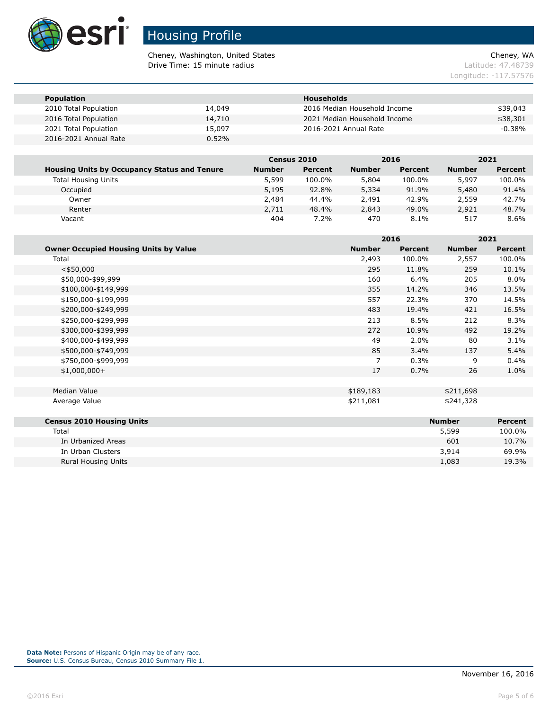

Cheney, Washington, United States Cheney, WA **Drive Time: 15 minute radius Latitude: 47.48739** 

Longitude: -117.57576

| <b>Population</b>     |        | <b>Households</b>            |           |
|-----------------------|--------|------------------------------|-----------|
| 2010 Total Population | 14,049 | 2016 Median Household Income | \$39,043  |
| 2016 Total Population | 14,710 | 2021 Median Household Income | \$38,301  |
| 2021 Total Population | 15,097 | 2016-2021 Annual Rate        | $-0.38\%$ |
| 2016-2021 Annual Rate | 0.52%  |                              |           |

|                                                     | <b>Census 2010</b> |         |               | 2016    |               | 2021    |
|-----------------------------------------------------|--------------------|---------|---------------|---------|---------------|---------|
| <b>Housing Units by Occupancy Status and Tenure</b> | <b>Number</b>      | Percent | <b>Number</b> | Percent | <b>Number</b> | Percent |
| <b>Total Housing Units</b>                          | 5,599              | 100.0%  | 5,804         | 100.0%  | 5,997         | 100.0%  |
| Occupied                                            | 5,195              | 92.8%   | 5,334         | 91.9%   | 5,480         | 91.4%   |
| Owner                                               | 2,484              | 44.4%   | 2,491         | 42.9%   | 2,559         | 42.7%   |
| Renter                                              | 2,711              | 48.4%   | 2,843         | 49.0%   | 2,921         | 48.7%   |
| Vacant                                              | 404                | $7.2\%$ | 470           | $8.1\%$ | 517           | $8.6\%$ |

|                                              |               | 2016           |               | 2021           |  |
|----------------------------------------------|---------------|----------------|---------------|----------------|--|
| <b>Owner Occupied Housing Units by Value</b> | <b>Number</b> | <b>Percent</b> | <b>Number</b> | <b>Percent</b> |  |
| Total                                        | 2,493         | 100.0%         | 2,557         | 100.0%         |  |
| $<$ \$50,000                                 | 295           | 11.8%          | 259           | 10.1%          |  |
| \$50,000-\$99,999                            | 160           | 6.4%           | 205           | 8.0%           |  |
| \$100,000-\$149,999                          | 355           | 14.2%          | 346           | 13.5%          |  |
| \$150,000-\$199,999                          | 557           | 22.3%          | 370           | 14.5%          |  |
| \$200,000-\$249,999                          | 483           | 19.4%          | 421           | 16.5%          |  |
| \$250,000-\$299,999                          | 213           | 8.5%           | 212           | 8.3%           |  |
| \$300,000-\$399,999                          | 272           | 10.9%          | 492           | 19.2%          |  |
| \$400,000-\$499,999                          | 49            | 2.0%           | 80            | 3.1%           |  |
| \$500,000-\$749,999                          | 85            | 3.4%           | 137           | 5.4%           |  |
| \$750,000-\$999,999                          | 7             | 0.3%           | 9             | 0.4%           |  |
| $$1,000,000+$                                | 17            | 0.7%           | 26            | 1.0%           |  |
|                                              |               |                |               |                |  |
| Median Value                                 | \$189,183     |                | \$211,698     |                |  |
| Average Value                                | \$211,081     |                | \$241,328     |                |  |
|                                              |               |                |               |                |  |
| <b>Census 2010 Housing Units</b>             |               |                | <b>Number</b> | <b>Percent</b> |  |
| Total                                        |               |                | 5,599         | 100.0%         |  |
| In Urbanized Areas                           |               |                | 601           | 10.7%          |  |

In Urban Clusters 3,914 69.9% Rural Housing Units 19.3%